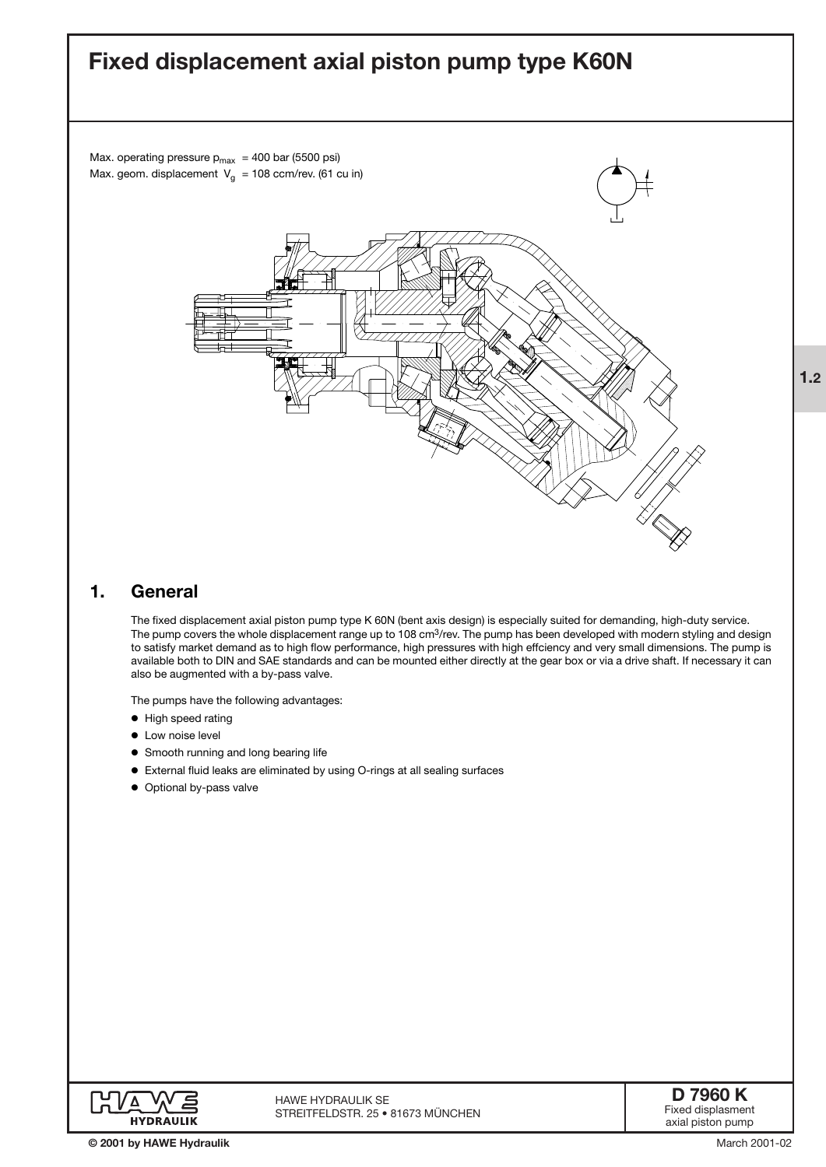# **Fixed displacement axial piston pump type K60N**

Max. operating pressure  $p_{max}$  = 400 bar (5500 psi) Max. geom. displacement  $V_q = 108$  ccm/rev. (61 cu in)



## **1. General**

The fixed displacement axial piston pump type K 60N (bent axis design) is especially suited for demanding, high-duty service. The pump covers the whole displacement range up to 108 cm<sup>3</sup>/rev. The pump has been developed with modern styling and design to satisfy market demand as to high flow performance, high pressures with high effciency and very small dimensions. The pump is available both to DIN and SAE standards and can be mounted either directly at the gear box or via a drive shaft. If necessary it can also be augmented with a by-pass valve.

The pumps have the following advantages:

- $\bullet$  High speed rating
- **•** Low noise level
- **•** Smooth running and long bearing life
- ' External fluid leaks are eliminated by using O-rings at all sealing surfaces
- Optional by-pass valve



**1.2**

March 2001-02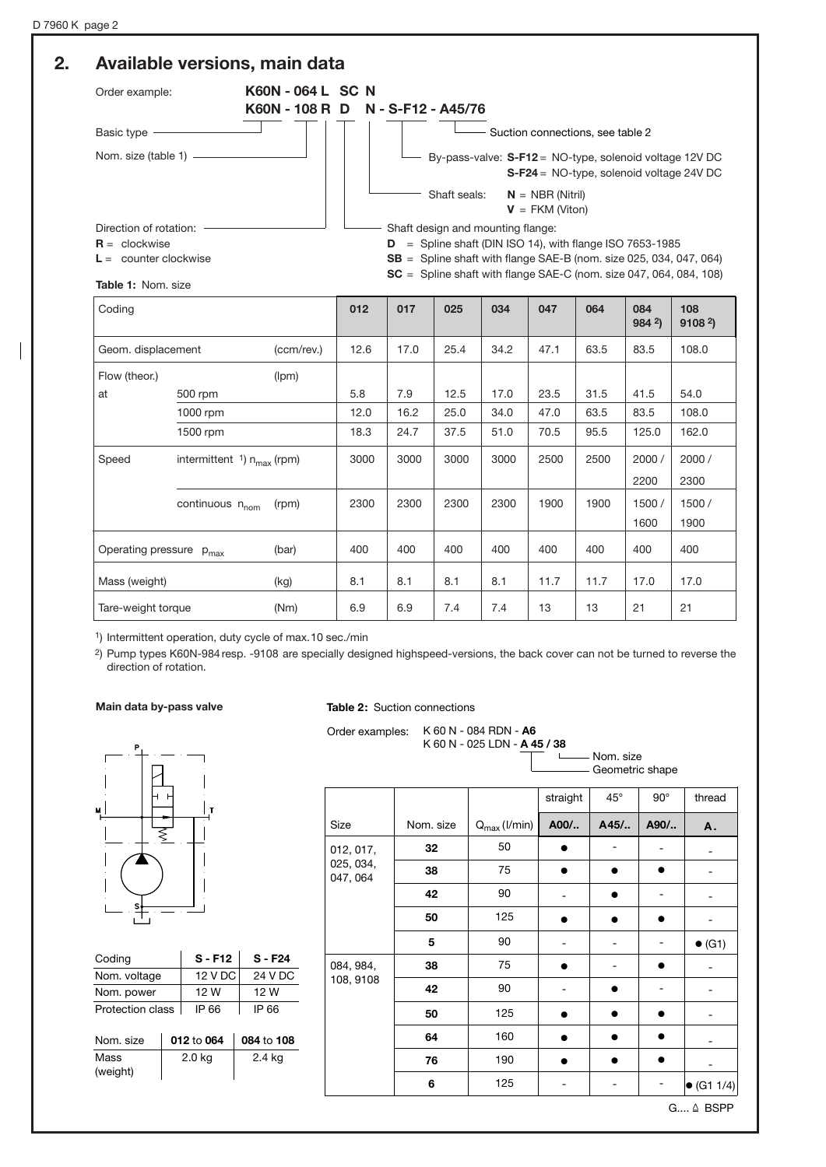#### **2. Available versions, main data** Order example: **K60N - 064 L SC N K60N - 108 R D N - S-F12 - A45/76** Basic type -Nom. size (table 1) Direction of rotation: **R** = clockwise **L** = counter clockwise Shaft seals: **N** = NBR (Nitril) **V** = FKM (Viton) Shaft design and mounting flange: **D** = Spline shaft (DIN ISO 14), with flange ISO 7653-1985 **SB** = Spline shaft with flange SAE-B (nom. size 025, 034, 047, 064) **SC** = Spline shaft with flange SAE-C (nom. size 047, 064, 084, 108) By-pass-valve: **S-F12** = NO-type, solenoid voltage 12V DC **S-F24** = NO-type, solenoid voltage 24V DC **Table 1:** Nom. size Coding **012 017 025 034 047 064 084 108** - Suction connections, see table 2

| Coding                                          |                                                   |      | 012  | 017  | 025  | 034  | 047  | 064   | 084<br>984 <sup>2</sup> | 108<br>9108 <sup>2</sup> |
|-------------------------------------------------|---------------------------------------------------|------|------|------|------|------|------|-------|-------------------------|--------------------------|
| (ccm/rev.)<br>Geom. displacement                |                                                   |      | 12.6 | 17.0 | 25.4 | 34.2 | 47.1 | 63.5  | 83.5                    | 108.0                    |
| Flow (theor.)                                   |                                                   |      |      |      |      |      |      |       |                         |                          |
| at                                              | 500 rpm                                           |      | 5.8  | 7.9  | 12.5 | 17.0 | 23.5 | 31.5  | 41.5                    | 54.0                     |
|                                                 | 1000 rpm                                          |      | 12.0 | 16.2 | 25.0 | 34.0 | 47.0 | 63.5  | 83.5                    | 108.0                    |
|                                                 | 1500 rpm                                          |      | 18.3 | 24.7 | 37.5 | 51.0 | 70.5 | 95.5  | 125.0                   | 162.0                    |
| Speed                                           | intermittent $\frac{1}{1}$ n <sub>max</sub> (rpm) | 3000 | 3000 | 3000 | 3000 | 2500 | 2500 | 2000/ | 2000 /                  |                          |
|                                                 |                                                   |      |      |      |      |      |      |       | 2200                    | 2300                     |
| continuous n <sub>nom</sub><br>(rpm)            |                                                   |      | 2300 | 2300 | 2300 | 2300 | 1900 | 1900  | 1500/                   | 1500/                    |
|                                                 |                                                   |      |      |      |      |      |      |       | 1600                    | 1900                     |
| (bar)<br>Operating pressure<br>$p_{\text{max}}$ |                                                   | 400  | 400  | 400  | 400  | 400  | 400  | 400   | 400                     |                          |
| Mass (weight)<br>(kg)                           |                                                   | 8.1  | 8.1  | 8.1  | 8.1  | 11.7 | 11.7 | 17.0  | 17.0                    |                          |
| Tare-weight torque<br>(Nm)                      |                                                   | 6.9  | 6.9  | 7.4  | 7.4  | 13   | 13   | 21    | 21                      |                          |

1) Intermittent operation, duty cycle of max.10 sec./min

2) Pump types K60N-984resp. -9108 are specially designed highspeed-versions, the back cover can not be turned to reverse the direction of rotation.

#### **Main data by-pass valve**

#### **Table 2:** Suction connections

| s |  |
|---|--|
|   |  |

| Coding           | $S - F12$ | $S - F24$ |
|------------------|-----------|-----------|
| Nom. voltage     | 12 V DC   | 24 V DC   |
| Nom. power       | 12 W      | 12 W      |
| Protection class | IP 66     | IP 66     |
|                  |           |           |

| Nom. size        | 012 to 064 | 084 to 108 |
|------------------|------------|------------|
| Mass<br>(weight) | 2.0 kg     | 2.4 kg     |

| Order examples: K 60 N - 084 RDN - A6 |
|---------------------------------------|
| K 60 N - 025 LDN - A 45 / 38          |
| <del>ு ப</del>                        |

Nom. size Geometric shape

|                       |           |                                   | straight | $45^{\circ}$ | $90^\circ$ | thread             |  |
|-----------------------|-----------|-----------------------------------|----------|--------------|------------|--------------------|--|
| Size                  | Nom. size | $Q_{\text{max}}$ ( <i>l/min</i> ) | A00/     | A45/         | A90/       | A.                 |  |
| 012, 017,             | 32        | 50                                |          |              |            |                    |  |
| 025, 034,<br>047, 064 | 38        | 75                                |          |              |            |                    |  |
|                       | 42        | 90                                |          |              |            |                    |  |
|                       | 50        | 125                               |          |              |            |                    |  |
|                       | 5         | 90                                |          |              |            | $\bullet$ (G1)     |  |
| 084, 984,             | 38        | 75                                |          |              |            |                    |  |
| 108, 9108             | 42        | 90                                |          |              |            |                    |  |
|                       | 50        | 125                               |          |              |            |                    |  |
|                       | 64        | 160                               |          |              |            |                    |  |
|                       | 76        | 190                               |          |              |            |                    |  |
|                       | 6         | 125                               |          |              |            | $\bullet$ (G1 1/4) |  |

G.... & BSPP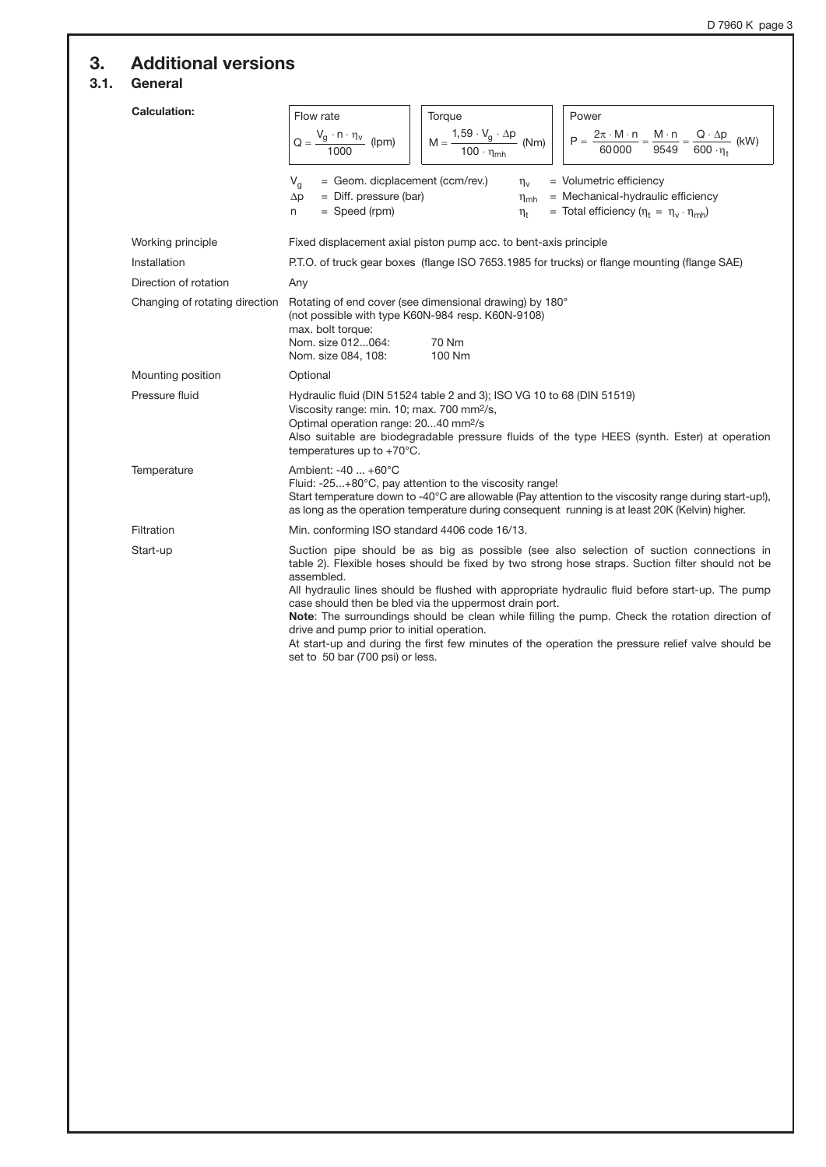## **3. Additional versions**

## **3.1. General**

| <b>Calculation:</b>            | Flow rate<br>Power<br>Torque<br>$M = \frac{1,59 \cdot V_g \cdot \Delta p}{100 \cdot \eta_{mh}}$ (Nm)<br>$P = {2\pi \cdot M \cdot n \over 60000} = {M \cdot n \over 9549} = {Q \cdot \Delta p \over 600 \cdot \eta_{\rm t}}$ (kW)<br>$Q = \frac{V_g \cdot n \cdot \eta_v}{\sqrt{2 \cdot 2 \cdot 2}}$ (lpm)<br>= Geom. dicplacement (ccm/rev.)<br>$V_q$<br>= Volumetric efficiency<br>$\eta_v$<br>$=$ Diff. pressure (bar)<br>= Mechanical-hydraulic efficiency<br>$\Delta p$<br>$\eta_{\text{mh}}$<br>= Total efficiency $(\eta_t = \eta_v \cdot \eta_{mh})$<br>$=$ Speed (rpm)<br>$\eta_t$<br>n                                                                  |
|--------------------------------|------------------------------------------------------------------------------------------------------------------------------------------------------------------------------------------------------------------------------------------------------------------------------------------------------------------------------------------------------------------------------------------------------------------------------------------------------------------------------------------------------------------------------------------------------------------------------------------------------------------------------------------------------------------|
| Working principle              | Fixed displacement axial piston pump acc. to bent-axis principle                                                                                                                                                                                                                                                                                                                                                                                                                                                                                                                                                                                                 |
| Installation                   | P.T.O. of truck gear boxes (flange ISO 7653.1985 for trucks) or flange mounting (flange SAE)                                                                                                                                                                                                                                                                                                                                                                                                                                                                                                                                                                     |
| Direction of rotation          | Any                                                                                                                                                                                                                                                                                                                                                                                                                                                                                                                                                                                                                                                              |
| Changing of rotating direction | Rotating of end cover (see dimensional drawing) by 180°<br>(not possible with type K60N-984 resp. K60N-9108)<br>max. bolt torque:<br>Nom. size 012064:<br>70 Nm<br>Nom. size 084, 108:<br>100 Nm                                                                                                                                                                                                                                                                                                                                                                                                                                                                 |
| Mounting position              | Optional                                                                                                                                                                                                                                                                                                                                                                                                                                                                                                                                                                                                                                                         |
| Pressure fluid                 | Hydraulic fluid (DIN 51524 table 2 and 3); ISO VG 10 to 68 (DIN 51519)<br>Viscosity range: min. 10; max. 700 mm <sup>2</sup> /s,<br>Optimal operation range: 2040 mm <sup>2</sup> /s<br>Also suitable are biodegradable pressure fluids of the type HEES (synth. Ester) at operation<br>temperatures up to $+70^{\circ}$ C.                                                                                                                                                                                                                                                                                                                                      |
| Temperature                    | Ambient: -40  +60°C<br>Fluid: -25+80°C, pay attention to the viscosity range!<br>Start temperature down to -40°C are allowable (Pay attention to the viscosity range during start-up!),<br>as long as the operation temperature during consequent running is at least 20K (Kelvin) higher.                                                                                                                                                                                                                                                                                                                                                                       |
| Filtration                     | Min. conforming ISO standard 4406 code 16/13.                                                                                                                                                                                                                                                                                                                                                                                                                                                                                                                                                                                                                    |
| Start-up                       | Suction pipe should be as big as possible (see also selection of suction connections in<br>table 2). Flexible hoses should be fixed by two strong hose straps. Suction filter should not be<br>assembled.<br>All hydraulic lines should be flushed with appropriate hydraulic fluid before start-up. The pump<br>case should then be bled via the uppermost drain port.<br>Note: The surroundings should be clean while filling the pump. Check the rotation direction of<br>drive and pump prior to initial operation.<br>At start-up and during the first few minutes of the operation the pressure relief valve should be<br>set to 50 bar (700 psi) or less. |